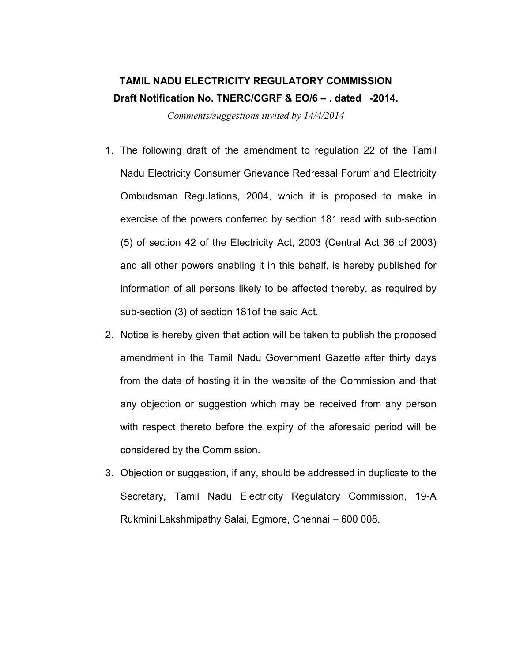## TAMIL NADU ELECTRICITY REGULATORY COMMISSION Draft Notification No. TNERC/CGRF & EO/6 – . dated -2014.

Comments/suggestions invited by 14/4/2014

- 1. The following draft of the amendment to regulation 22 of the Tamil Nadu Electricity Consumer Grievance Redressal Forum and Electricity Ombudsman Regulations, 2004, which it is proposed to make in exercise of the powers conferred by section 181 read with sub-section (5) of section 42 of the Electricity Act, 2003 (Central Act 36 of 2003) and all other powers enabling it in this behalf, is hereby published for information of all persons likely to be affected thereby, as required by sub-section (3) of section 181of the said Act.
- 2. Notice is hereby given that action will be taken to publish the proposed amendment in the Tamil Nadu Government Gazette after thirty days from the date of hosting it in the website of the Commission and that any objection or suggestion which may be received from any person with respect thereto before the expiry of the aforesaid period will be considered by the Commission.
- 3. Objection or suggestion, if any, should be addressed in duplicate to the Secretary, Tamil Nadu Electricity Regulatory Commission, 19-A Rukmini Lakshmipathy Salai, Egmore, Chennai – 600 008.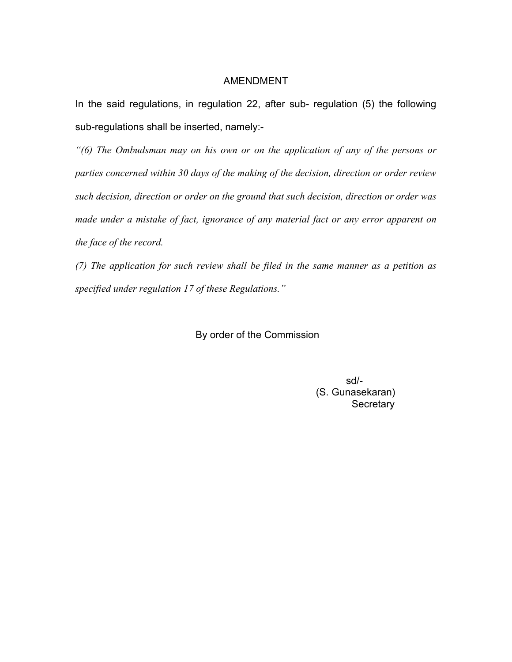## AMENDMENT

In the said regulations, in regulation 22, after sub- regulation (5) the following sub-regulations shall be inserted, namely:-

"(6) The Ombudsman may on his own or on the application of any of the persons or parties concerned within 30 days of the making of the decision, direction or order review such decision, direction or order on the ground that such decision, direction or order was made under a mistake of fact, ignorance of any material fact or any error apparent on the face of the record.

(7) The application for such review shall be filed in the same manner as a petition as specified under regulation 17 of these Regulations."

By order of the Commission

 sd/- (S. Gunasekaran) **Secretary**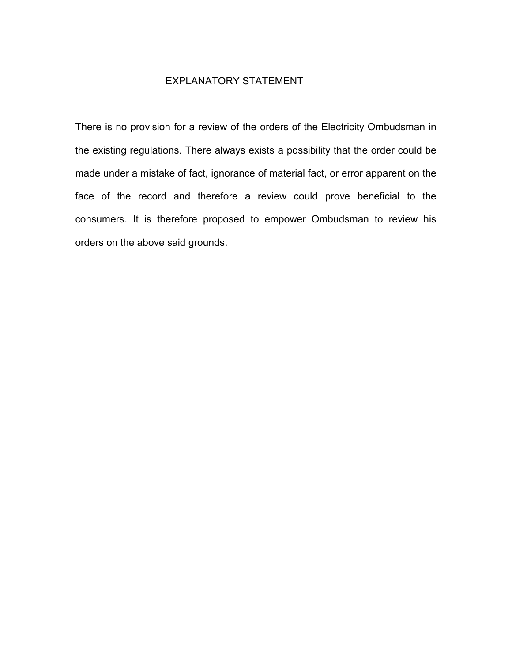## EXPLANATORY STATEMENT

There is no provision for a review of the orders of the Electricity Ombudsman in the existing regulations. There always exists a possibility that the order could be made under a mistake of fact, ignorance of material fact, or error apparent on the face of the record and therefore a review could prove beneficial to the consumers. It is therefore proposed to empower Ombudsman to review his orders on the above said grounds.